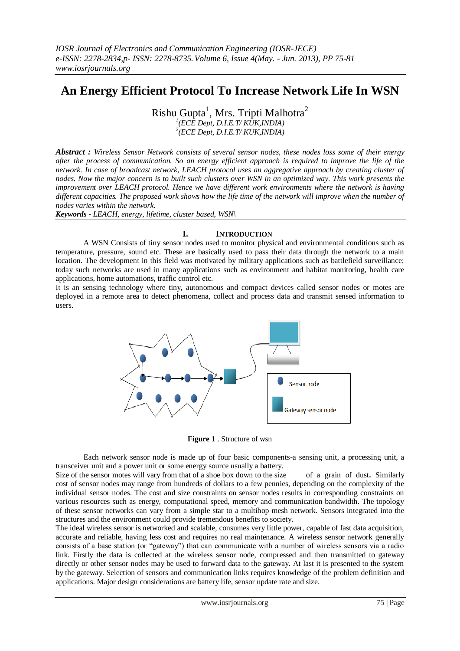# **An Energy Efficient Protocol To Increase Network Life In WSN**

Rishu Gupta $^1$ , Mrs. Tripti Malhotra $^2$ 

*1 (ECE Dept, D.I.E.T/ KUK,INDIA)*

*2 (ECE Dept, D.I.E.T/ KUK,INDIA)*

*Abstract : Wireless Sensor Network consists of several sensor nodes, these nodes loss some of their energy after the process of communication. So an energy efficient approach is required to improve the life of the network. In case of broadcast network, LEACH protocol uses an aggregative approach by creating cluster of nodes. Now the major concern is to built such clusters over WSN in an optimized way. This work presents the improvement over LEACH protocol. Hence we have different work environments where the network is having different capacities. The proposed work shows how the life time of the network will improve when the number of nodes varies within the network.*

*Keywords - LEACH, energy, lifetime, cluster based, WSN\*

## **I. INTRODUCTION**

A WSN Consists of tiny sensor nodes used to monitor physical and environmental conditions such as temperature, pressure, sound etc. These are basically used to pass their data through the network to a main location. The development in this field was motivated by military applications such as battlefield surveillance; today such networks are used in many applications such as environment and habitat monitoring, health care applications, home automations, traffic control etc.

It is an sensing technology where tiny, autonomous and compact devices called sensor nodes or motes are deployed in a remote area to detect phenomena, collect and process data and transmit sensed information to users.



**Figure 1** . Structure of wsn

Each network sensor node is made up of four basic components-a sensing unit, a processing unit, a transceiver unit and a power unit or some energy source usually a battery.

Size of the sensor motes will vary from that of a shoe box down to the size of a grain of dust**.** Similarly cost of sensor nodes may range from hundreds of dollars to a few pennies, depending on the complexity of the individual sensor nodes. The cost and size constraints on sensor nodes results in corresponding constraints on various resources such as energy, computational speed, memory and communication bandwidth. The topology of these sensor networks can vary from a simple star to a multihop mesh network. Sensors integrated into the structures and the environment could provide tremendous benefits to society.

The ideal wireless sensor is networked and scalable, consumes very little power, capable of fast data acquisition, accurate and reliable, having less cost and requires no real maintenance. A wireless sensor network generally consists of a base station (or "gateway") that can communicate with a number of wireless sensors via a radio link. Firstly the data is collected at the wireless sensor node, compressed and then transmitted to gateway directly or other sensor nodes may be used to forward data to the gateway. At last it is presented to the system by the gateway. Selection of sensors and communication links requires knowledge of the problem definition and applications. Major design considerations are battery life, sensor update rate and size.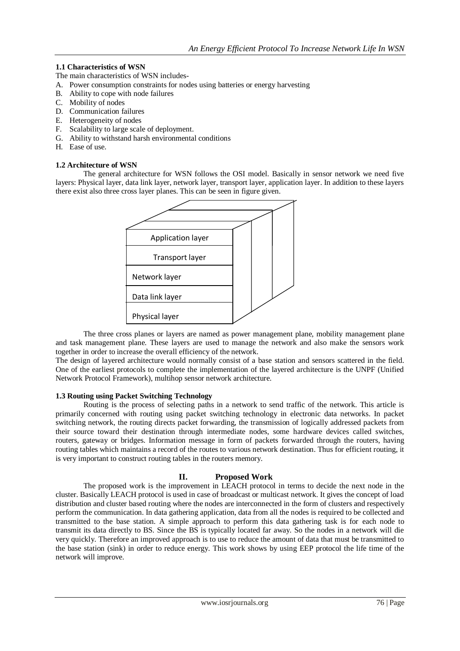## **1.1 Characteristics of WSN**

The main characteristics of WSN includes-

- A. Power consumption constraints for nodes using batteries or energy harvesting
- B. Ability to cope with node failures
- C. Mobility of nodes
- D. Communication failures
- E. Heterogeneity of nodes
- F. Scalability to large scale of deployment.
- G. Ability to withstand harsh environmental conditions
- H. Ease of use.

#### **1.2 Architecture of WSN**

The general architecture for WSN follows the OSI model. Basically in sensor network we need five layers: Physical layer, data link layer, network layer, transport layer, application layer. In addition to these layers there exist also three cross layer planes. This can be seen in figure given.



The three cross planes or layers are named as power management plane, mobility management plane and task management plane. These layers are used to manage the network and also make the sensors work together in order to increase the overall efficiency of the network.

The design of layered architecture would normally consist of a base station and sensors scattered in the field. One of the earliest protocols to complete the implementation of the layered architecture is the UNPF (Unified Network Protocol Framework), multihop sensor network architecture.

#### **1.3 Routing using Packet Switching Technology**

Routing is the process of selecting paths in a network to send traffic of the network. This article is primarily concerned with routing using packet switching technology in electronic data networks. In packet switching network, the routing directs packet forwarding, the transmission of logically addressed packets from their source toward their destination through intermediate nodes, some hardware devices called switches, routers, gateway or bridges. Information message in form of packets forwarded through the routers, having routing tables which maintains a record of the routes to various network destination. Thus for efficient routing, it is very important to construct routing tables in the routers memory.

## **II. Proposed Work**

The proposed work is the improvement in LEACH protocol in terms to decide the next node in the cluster. Basically LEACH protocol is used in case of broadcast or multicast network. It gives the concept of load distribution and cluster based routing where the nodes are interconnected in the form of clusters and respectively perform the communication. In data gathering application, data from all the nodes is required to be collected and transmitted to the base station. A simple approach to perform this data gathering task is for each node to transmit its data directly to BS. Since the BS is typically located far away. So the nodes in a network will die very quickly. Therefore an improved approach is to use to reduce the amount of data that must be transmitted to the base station (sink) in order to reduce energy. This work shows by using EEP protocol the life time of the network will improve.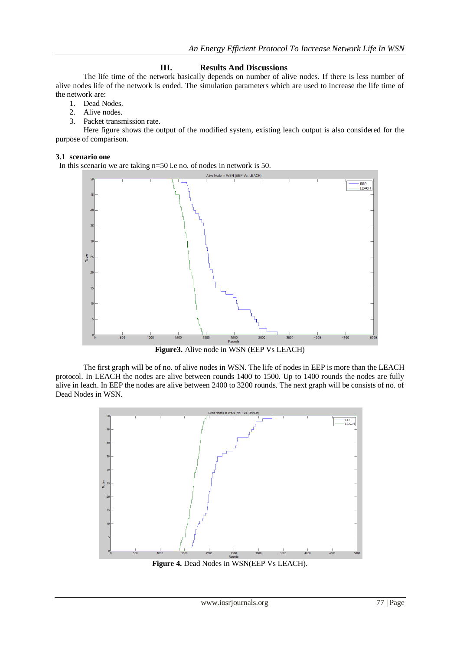## **III. Results And Discussions**

The life time of the network basically depends on number of alive nodes. If there is less number of alive nodes life of the network is ended. The simulation parameters which are used to increase the life time of the network are:

- 1. Dead Nodes.
- 2. Alive nodes.
- 3. Packet transmission rate.

Here figure shows the output of the modified system, existing leach output is also considered for the purpose of comparison.

#### **3.1 scenario one**

In this scenario we are taking n=50 i.e no. of nodes in network is 50.



**Figure3.** Alive node in WSN (EEP Vs LEACH)

The first graph will be of no. of alive nodes in WSN. The life of nodes in EEP is more than the LEACH protocol. In LEACH the nodes are alive between rounds 1400 to 1500. Up to 1400 rounds the nodes are fully alive in leach. In EEP the nodes are alive between 2400 to 3200 rounds. The next graph will be consists of no. of Dead Nodes in WSN.



**Figure 4.** Dead Nodes in WSN(EEP Vs LEACH).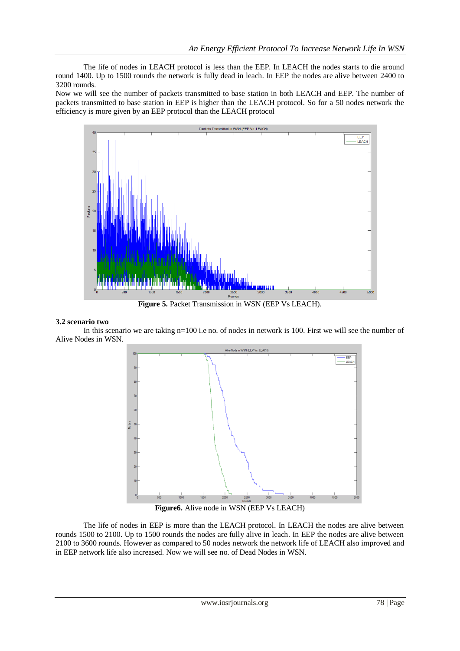The life of nodes in LEACH protocol is less than the EEP. In LEACH the nodes starts to die around round 1400. Up to 1500 rounds the network is fully dead in leach. In EEP the nodes are alive between 2400 to 3200 rounds.

Now we will see the number of packets transmitted to base station in both LEACH and EEP. The number of packets transmitted to base station in EEP is higher than the LEACH protocol. So for a 50 nodes network the efficiency is more given by an EEP protocol than the LEACH protocol



**Figure 5.** Packet Transmission in WSN (EEP Vs LEACH).

#### **3.2 scenario two**

In this scenario we are taking n=100 i.e no. of nodes in network is 100. First we will see the number of Alive Nodes in WSN.



**Figure6.** Alive node in WSN (EEP Vs LEACH)

The life of nodes in EEP is more than the LEACH protocol. In LEACH the nodes are alive between rounds 1500 to 2100. Up to 1500 rounds the nodes are fully alive in leach. In EEP the nodes are alive between 2100 to 3600 rounds. However as compared to 50 nodes network the network life of LEACH also improved and in EEP network life also increased. Now we will see no. of Dead Nodes in WSN.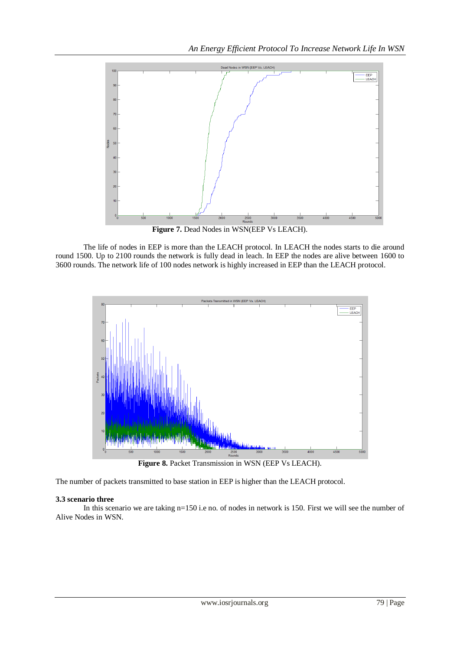

Figure 7. Dead Nodes in WSN(EEP Vs LEACH).

The life of nodes in EEP is more than the LEACH protocol. In LEACH the nodes starts to die around round 1500. Up to 2100 rounds the network is fully dead in leach. In EEP the nodes are alive between 1600 to 3600 rounds. The network life of 100 nodes network is highly increased in EEP than the LEACH protocol.



Figure 8. Packet Transmission in WSN (EEP Vs LEACH).

The number of packets transmitted to base station in EEP is higher than the LEACH protocol.

## **3.3 scenario three**

In this scenario we are taking n=150 i.e no. of nodes in network is 150. First we will see the number of Alive Nodes in WSN.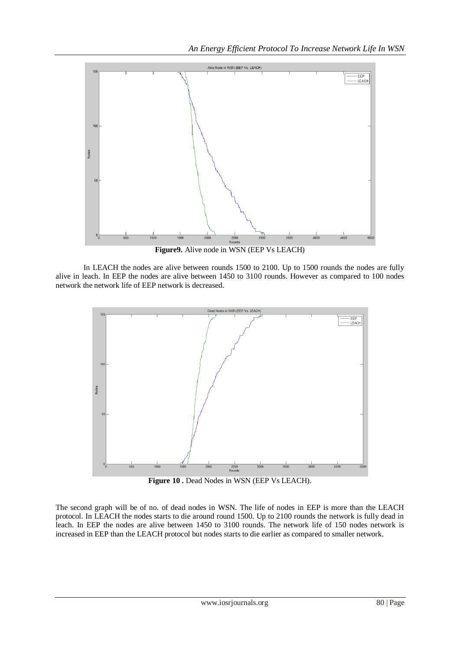

**Figure9.** Alive node in WSN (EEP Vs LEACH)

In LEACH the nodes are alive between rounds 1500 to 2100. Up to 1500 rounds the nodes are fully alive in leach. In EEP the nodes are alive between 1450 to 3100 rounds. However as compared to 100 nodes network the network life of EEP network is decreased.



Figure 10 . Dead Nodes in WSN (EEP Vs LEACH).

The second graph will be of no. of dead nodes in WSN. The life of nodes in EEP is more than the LEACH protocol. In LEACH the nodes starts to die around round 1500. Up to 2100 rounds the network is fully dead in leach. In EEP the nodes are alive between 1450 to 3100 rounds. The network life of 150 nodes network is increased in EEP than the LEACH protocol but nodes starts to die earlier as compared to smaller network.